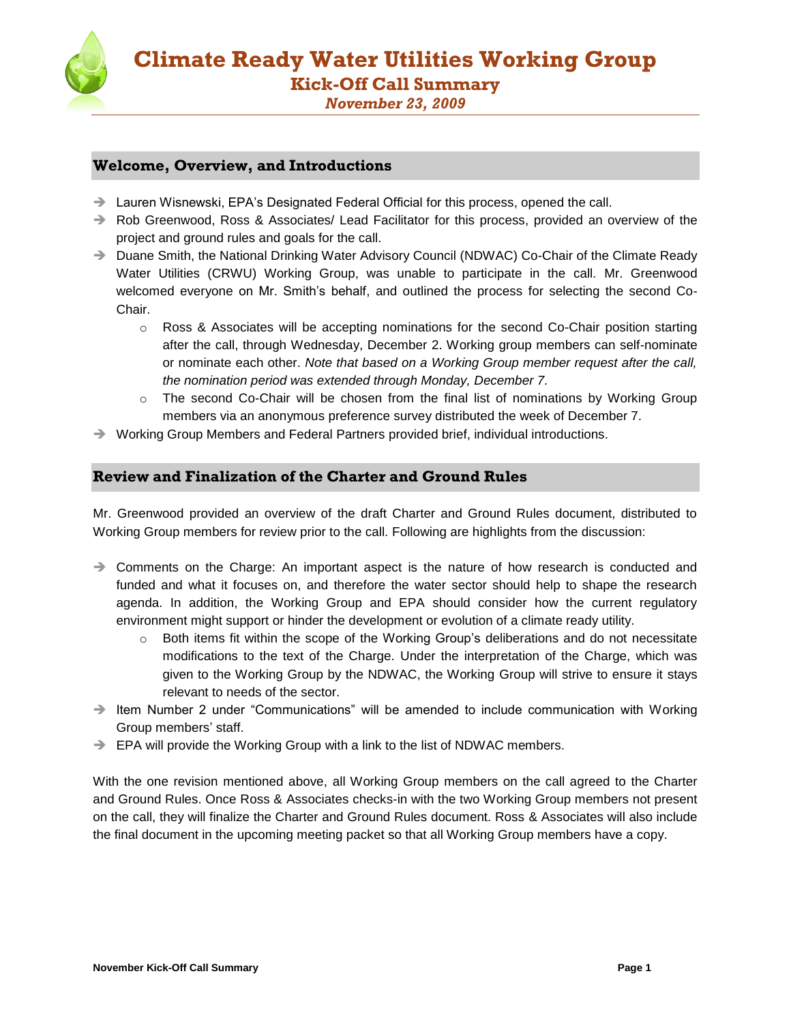

# *November 23, 2009*

# **Welcome, Overview, and Introductions**

- $\rightarrow$  Lauren Wisnewski, EPA's Designated Federal Official for this process, opened the call.
- → Rob Greenwood, Ross & Associates/ Lead Facilitator for this process, provided an overview of the project and ground rules and goals for the call.
- → Duane Smith, the National Drinking Water Advisory Council (NDWAC) Co-Chair of the Climate Ready Water Utilities (CRWU) Working Group, was unable to participate in the call. Mr. Greenwood welcomed everyone on Mr. Smith's behalf, and outlined the process for selecting the second Co-Chair.
	- o Ross & Associates will be accepting nominations for the second Co-Chair position starting after the call, through Wednesday, December 2. Working group members can self-nominate or nominate each other. *Note that based on a Working Group member request after the call, the nomination period was extended through Monday, December 7.*
	- $\circ$  The second Co-Chair will be chosen from the final list of nominations by Working Group members via an anonymous preference survey distributed the week of December 7.
- $\rightarrow$  Working Group Members and Federal Partners provided brief, individual introductions.

# **Review and Finalization of the Charter and Ground Rules**

Mr. Greenwood provided an overview of the draft Charter and Ground Rules document, distributed to Working Group members for review prior to the call. Following are highlights from the discussion:

- $\rightarrow$  Comments on the Charge: An important aspect is the nature of how research is conducted and funded and what it focuses on, and therefore the water sector should help to shape the research agenda. In addition, the Working Group and EPA should consider how the current regulatory environment might support or hinder the development or evolution of a climate ready utility.
	- o Both items fit within the scope of the Working Group's deliberations and do not necessitate modifications to the text of the Charge. Under the interpretation of the Charge, which was given to the Working Group by the NDWAC, the Working Group will strive to ensure it stays relevant to needs of the sector.
- $\rightarrow$  Item Number 2 under "Communications" will be amended to include communication with Working Group members' staff.
- → EPA will provide the Working Group with a link to the list of NDWAC members.

With the one revision mentioned above, all Working Group members on the call agreed to the Charter and Ground Rules. Once Ross & Associates checks-in with the two Working Group members not present on the call, they will finalize the Charter and Ground Rules document. Ross & Associates will also include the final document in the upcoming meeting packet so that all Working Group members have a copy.